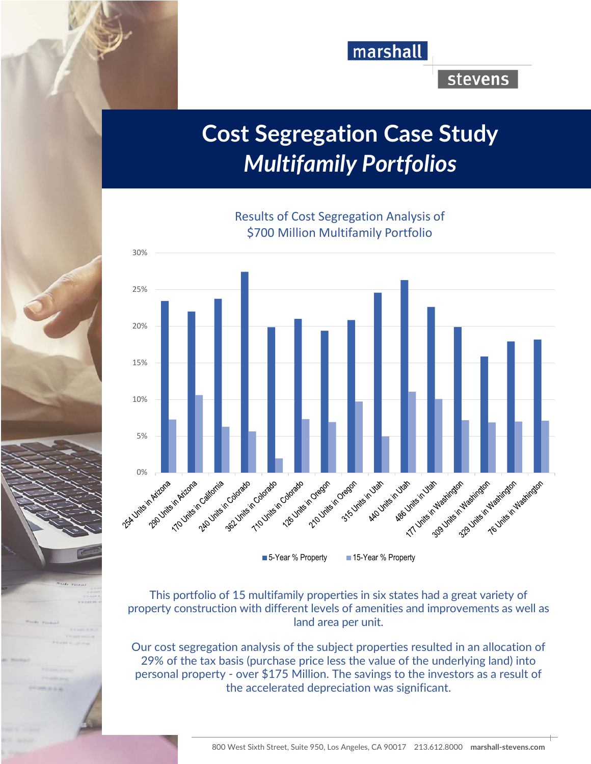

## **stevens**

## **Cost Segregation Case Study**  *Multifamily Portfolios*

Results of Cost Segregation Analysis of



■ 5-Year % Property ■ 15-Year % Property

This portfolio of 15 multifamily properties in six states had a great variety of property construction with different levels of amenities and improvements as well as land area per unit.

Our cost segregation analysis of the subject properties resulted in an allocation of 29% of the tax basis (purchase price less the value of the underlying land) into personal property - over \$175 Million. The savings to the investors as a result of the accelerated depreciation was significant.